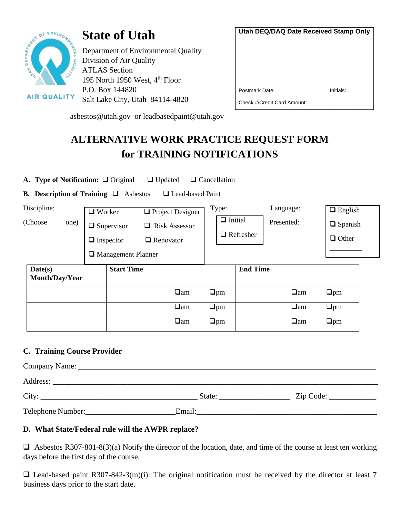

**AIR QUALITY** 

# **State of Utah**

Department of Environmental Quality Division of Air Quality ATLAS Section 195 North 1950 West, 4<sup>th</sup> Floor P.O. Box 144820 Salt Lake City, Utah 84114-4820

| Utah DEQ/DAQ Date Received Stamp Only |  |  |  |  |
|---------------------------------------|--|--|--|--|
|                                       |  |  |  |  |
|                                       |  |  |  |  |
|                                       |  |  |  |  |
|                                       |  |  |  |  |
|                                       |  |  |  |  |
| Postmark Date: initials:              |  |  |  |  |
| Check #/Credit Card Amount:           |  |  |  |  |
|                                       |  |  |  |  |

asbestos@utah.gov or leadbasedpaint@utah.gov

# **ALTERNATIVE WORK PRACTICE REQUEST FORM for TRAINING NOTIFICATIONS**

**A. Type of Notification:** ❑ Original ❑ Updated ❑ Cancellation

**B. Description of Training** ❑ Asbestos ❑ Lead-based Paint

| Discipline:               |      | $\Box$ Worker |                           | $\Box$ Project Designer   | Type: |                                    |                 | Language:<br>Presented: |           | $\Box$ English |  |
|---------------------------|------|---------------|---------------------------|---------------------------|-------|------------------------------------|-----------------|-------------------------|-----------|----------------|--|
| (Choose                   | one) |               | $\Box$ Supervisor         | <b>Risk Assessor</b><br>□ |       | $\Box$ Initial<br>$\Box$ Refresher |                 |                         |           | $\Box$ Spanish |  |
|                           |      |               | $\Box$ Inspector          | $\Box$ Renovator          |       |                                    |                 |                         |           | $\Box$ Other   |  |
|                           |      |               | $\Box$ Management Planner |                           |       |                                    |                 |                         |           |                |  |
| Date(s)<br>Month/Day/Year |      |               | <b>Start Time</b>         |                           |       |                                    | <b>End Time</b> |                         |           |                |  |
|                           |      |               |                           | $\Box$ am                 |       | $\Box$ pm                          |                 |                         | $\Box$ am | $\Box$ pm      |  |
|                           |      |               |                           | $\Box$ am                 |       | $\Box$ pm                          |                 |                         | $\Box$ am | $\Box$ pm      |  |
|                           |      |               |                           | $\Box$ am                 |       | $\Box$ pm                          |                 |                         | $\Box$ am | $\Box$ pm      |  |

## **C. Training Course Provider**

| City:             | State: |  |
|-------------------|--------|--|
| Telephone Number: | Email: |  |

## **D. What State/Federal rule will the AWPR replace?**

 $\Box$  Asbestos R307-801-8(3)(a) Notify the director of the location, date, and time of the course at least ten working days before the first day of the course.

 $\Box$  Lead-based paint R307-842-3(m)(i): The original notification must be received by the director at least 7 business days prior to the start date.